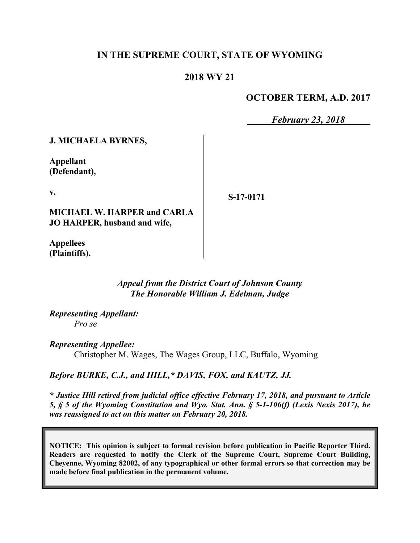### **IN THE SUPREME COURT, STATE OF WYOMING**

### **2018 WY 21**

### **OCTOBER TERM, A.D. 2017**

*February 23, 2018*

**J. MICHAELA BYRNES,**

**Appellant (Defendant),**

**v.**

**S-17-0171**

**MICHAEL W. HARPER and CARLA JO HARPER, husband and wife,**

**Appellees (Plaintiffs).**

### *Appeal from the District Court of Johnson County The Honorable William J. Edelman, Judge*

*Representing Appellant: Pro se*

*Representing Appellee:* Christopher M. Wages, The Wages Group, LLC, Buffalo, Wyoming

*Before BURKE, C.J., and HILL,\* DAVIS, FOX, and KAUTZ, JJ.*

*\* Justice Hill retired from judicial office effective February 17, 2018, and pursuant to Article 5, § 5 of the Wyoming Constitution and Wyo. Stat. Ann. § 5-1-106(f) (Lexis Nexis 2017), he was reassigned to act on this matter on February 20, 2018.*

**NOTICE: This opinion is subject to formal revision before publication in Pacific Reporter Third. Readers are requested to notify the Clerk of the Supreme Court, Supreme Court Building, Cheyenne, Wyoming 82002, of any typographical or other formal errors so that correction may be made before final publication in the permanent volume.**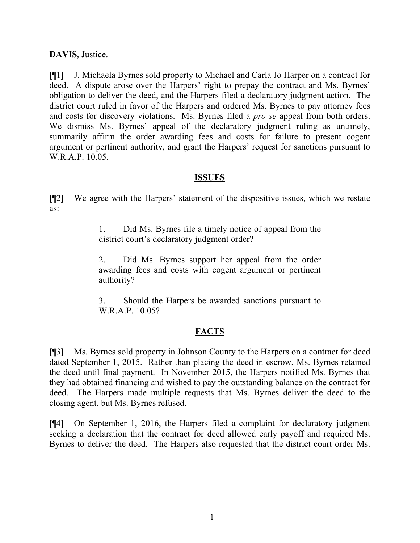**DAVIS**, Justice.

[¶1] J. Michaela Byrnes sold property to Michael and Carla Jo Harper on a contract for deed. A dispute arose over the Harpers' right to prepay the contract and Ms. Byrnes' obligation to deliver the deed, and the Harpers filed a declaratory judgment action. The district court ruled in favor of the Harpers and ordered Ms. Byrnes to pay attorney fees and costs for discovery violations. Ms. Byrnes filed a *pro se* appeal from both orders. We dismiss Ms. Byrnes' appeal of the declaratory judgment ruling as untimely, summarily affirm the order awarding fees and costs for failure to present cogent argument or pertinent authority, and grant the Harpers' request for sanctions pursuant to W.R.A.P. 10.05.

### **ISSUES**

[¶2] We agree with the Harpers' statement of the dispositive issues, which we restate as:

> 1. Did Ms. Byrnes file a timely notice of appeal from the district court's declaratory judgment order?

> 2. Did Ms. Byrnes support her appeal from the order awarding fees and costs with cogent argument or pertinent authority?

> 3. Should the Harpers be awarded sanctions pursuant to W.R.A.P. 10.05?

### **FACTS**

[¶3] Ms. Byrnes sold property in Johnson County to the Harpers on a contract for deed dated September 1, 2015. Rather than placing the deed in escrow, Ms. Byrnes retained the deed until final payment. In November 2015, the Harpers notified Ms. Byrnes that they had obtained financing and wished to pay the outstanding balance on the contract for deed. The Harpers made multiple requests that Ms. Byrnes deliver the deed to the closing agent, but Ms. Byrnes refused.

[¶4] On September 1, 2016, the Harpers filed a complaint for declaratory judgment seeking a declaration that the contract for deed allowed early payoff and required Ms. Byrnes to deliver the deed. The Harpers also requested that the district court order Ms.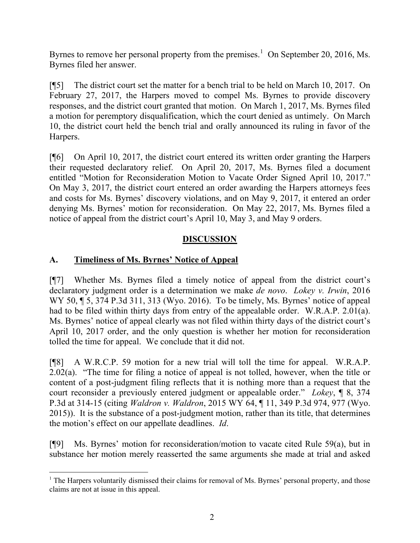Byrnes to remove her personal property from the premises.<sup>1</sup> On September 20, 2016, Ms. Byrnes filed her answer.

[¶5] The district court set the matter for a bench trial to be held on March 10, 2017. On February 27, 2017, the Harpers moved to compel Ms. Byrnes to provide discovery responses, and the district court granted that motion. On March 1, 2017, Ms. Byrnes filed a motion for peremptory disqualification, which the court denied as untimely. On March 10, the district court held the bench trial and orally announced its ruling in favor of the Harpers.

[¶6] On April 10, 2017, the district court entered its written order granting the Harpers their requested declaratory relief. On April 20, 2017, Ms. Byrnes filed a document entitled "Motion for Reconsideration Motion to Vacate Order Signed April 10, 2017." On May 3, 2017, the district court entered an order awarding the Harpers attorneys fees and costs for Ms. Byrnes' discovery violations, and on May 9, 2017, it entered an order denying Ms. Byrnes' motion for reconsideration. On May 22, 2017, Ms. Byrnes filed a notice of appeal from the district court's April 10, May 3, and May 9 orders.

# **DISCUSSION**

# **A. Timeliness of Ms. Byrnes' Notice of Appeal**

[¶7] Whether Ms. Byrnes filed a timely notice of appeal from the district court's declaratory judgment order is a determination we make *de novo*. *Lokey v. Irwin*, 2016 WY 50, ¶ 5, 374 P.3d 311, 313 (Wyo. 2016). To be timely, Ms. Byrnes' notice of appeal had to be filed within thirty days from entry of the appealable order. W.R.A.P. 2.01(a). Ms. Byrnes' notice of appeal clearly was not filed within thirty days of the district court's April 10, 2017 order, and the only question is whether her motion for reconsideration tolled the time for appeal. We conclude that it did not.

[¶8] A W.R.C.P. 59 motion for a new trial will toll the time for appeal. W.R.A.P. 2.02(a). "The time for filing a notice of appeal is not tolled, however, when the title or content of a post-judgment filing reflects that it is nothing more than a request that the court reconsider a previously entered judgment or appealable order." *Lokey*, ¶ 8, 374 P.3d at 314-15 (citing *Waldron v. Waldron*, 2015 WY 64, ¶ 11, 349 P.3d 974, 977 (Wyo. 2015)). It is the substance of a post-judgment motion, rather than its title, that determines the motion's effect on our appellate deadlines. *Id*.

[¶9] Ms. Byrnes' motion for reconsideration/motion to vacate cited Rule 59(a), but in substance her motion merely reasserted the same arguments she made at trial and asked

<sup>&</sup>lt;sup>1</sup> The Harpers voluntarily dismissed their claims for removal of Ms. Byrnes' personal property, and those claims are not at issue in this appeal.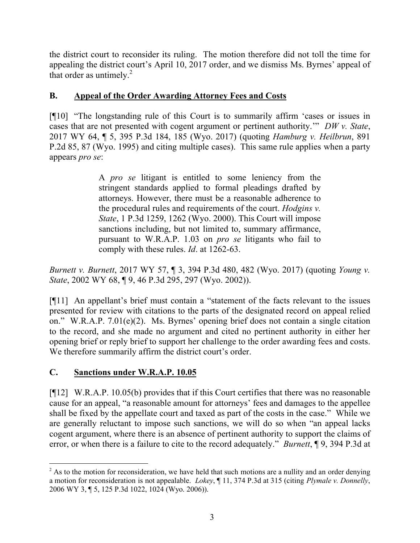the district court to reconsider its ruling. The motion therefore did not toll the time for appealing the district court's April 10, 2017 order, and we dismiss Ms. Byrnes' appeal of that order as untimely. $^{2}$ 

# **B. Appeal of the Order Awarding Attorney Fees and Costs**

[¶10] "The longstanding rule of this Court is to summarily affirm 'cases or issues in cases that are not presented with cogent argument or pertinent authority.'" *DW v. State*, 2017 WY 64, ¶ 5, 395 P.3d 184, 185 (Wyo. 2017) (quoting *Hamburg v. Heilbrun*, 891 P.2d 85, 87 (Wyo. 1995) and citing multiple cases). This same rule applies when a party appears *pro se*:

> A *pro se* litigant is entitled to some leniency from the stringent standards applied to formal pleadings drafted by attorneys. However, there must be a reasonable adherence to the procedural rules and requirements of the court. *Hodgins v. State*, 1 P.3d 1259, 1262 (Wyo. 2000). This Court will impose sanctions including, but not limited to, summary affirmance, pursuant to W.R.A.P. 1.03 on *pro se* litigants who fail to comply with these rules. *Id*. at 1262-63.

*Burnett v. Burnett*, 2017 WY 57, ¶ 3, 394 P.3d 480, 482 (Wyo. 2017) (quoting *Young v. State*, 2002 WY 68, ¶ 9, 46 P.3d 295, 297 (Wyo. 2002)).

[¶11] An appellant's brief must contain a "statement of the facts relevant to the issues presented for review with citations to the parts of the designated record on appeal relied on." W.R.A.P. 7.01(e)(2). Ms. Byrnes' opening brief does not contain a single citation to the record, and she made no argument and cited no pertinent authority in either her opening brief or reply brief to support her challenge to the order awarding fees and costs. We therefore summarily affirm the district court's order.

# **C. Sanctions under W.R.A.P. 10.05**

l

[¶12] W.R.A.P. 10.05(b) provides that if this Court certifies that there was no reasonable cause for an appeal, "a reasonable amount for attorneys' fees and damages to the appellee shall be fixed by the appellate court and taxed as part of the costs in the case." While we are generally reluctant to impose such sanctions, we will do so when "an appeal lacks cogent argument, where there is an absence of pertinent authority to support the claims of error, or when there is a failure to cite to the record adequately." *Burnett*, ¶ 9, 394 P.3d at

<sup>&</sup>lt;sup>2</sup> As to the motion for reconsideration, we have held that such motions are a nullity and an order denying a motion for reconsideration is not appealable. *Lokey*, ¶ 11, 374 P.3d at 315 (citing *Plymale v. Donnelly*, 2006 WY 3, ¶ 5, 125 P.3d 1022, 1024 (Wyo. 2006)).